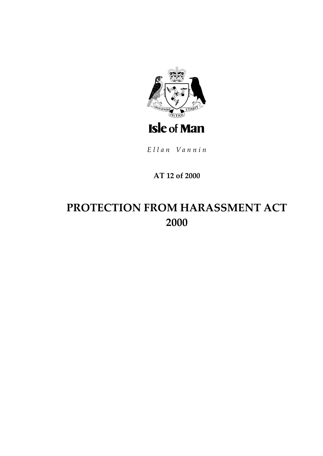

Ellan Vannin

### AT 12 of 2000

# PROTECTION FROM HARASSMENT ACT 2000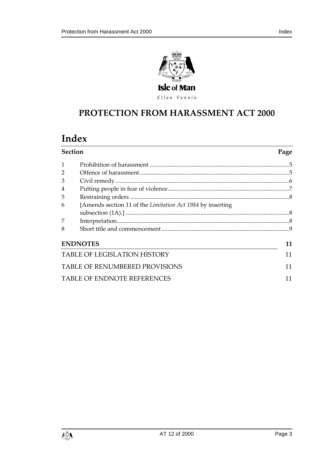



### **PROTECTION FROM HARA SSMENT ACT 2000**

## **Index**

| <b>Section</b>                        |                                                             | Page |
|---------------------------------------|-------------------------------------------------------------|------|
|                                       |                                                             |      |
| $\overline{2}$                        |                                                             |      |
| 3                                     |                                                             |      |
| 4                                     |                                                             |      |
| 5                                     |                                                             |      |
| 6                                     | [Amends section 11 of the Limitation Act 1984 by inserting] |      |
|                                       |                                                             |      |
| 7                                     |                                                             |      |
| 8                                     |                                                             |      |
|                                       | <b>ENDNOTES</b>                                             | 11   |
| <b>TABLE OF LEGISLATION HISTORY</b>   |                                                             | 11   |
| <b>TABLE OF RENUMBERED PROVISIONS</b> |                                                             |      |
| <b>TABLE OF ENDNOTE REFERENCES</b>    |                                                             |      |

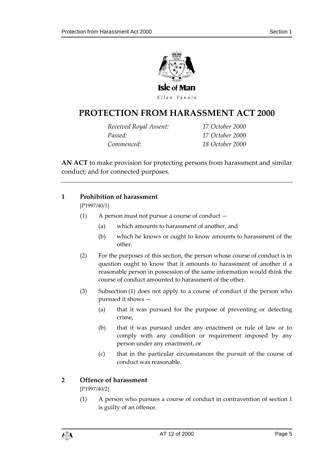

### **PROTECTION FROM HARA SSMENT ACT 2000**

*Received Royal Assent: 17 October 2000 Passed: 17 October 2000 Commenced: 18 October 2000*

**AN ACT** to make provision for protecting persons from harassment and similar conduct; and for connected purposes.

#### <span id="page-4-0"></span>**1 Prohibition of harassment**

[P1997/40/1]

- (1) A person must not pursue a course of conduct
	- (a) which amounts to harassment of another, and
	- (b) which he knows or ought to know amounts to harassment of the other.
- (2) For the purposes of this section, the person whose course of conduct is in question ought to know that it amounts to harassment of another if a reasonable person in possession of the same information would think the course of conduct amounted to harassment of the other.
- (3) Subsection (1) does not apply to a course of conduct if the person who pursued it shows —
	- (a) that it was pursued for the purpose of preventing or detecting crime,
	- (b) that it was pursued under any enactment or rule of law or to comply with any condition or requirement imposed by any person under any enactment, or
	- (c) that in the particular circumstances the pursuit of the course of conduct was reasonable.

#### <span id="page-4-1"></span>**2 Offence of harassment**

[P1997/40/2]

(1) A person who pursues a course of conduct in contravention of section 1 is guilty of an offence.

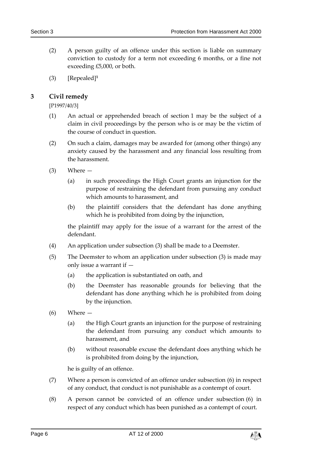- (2) A person guilty of an offence under this section is liable on summary conviction to custody for a term not exceeding 6 months, or a fine not exceeding £5,000, or both.
- (3) [Repealed]**<sup>1</sup>**

#### <span id="page-5-0"></span>**3 Civil remedy**

[P1997/40/3]

- (1) An actual or apprehended breach of section 1 may be the subject of a claim in civil proceedings by the person who is or may be the victim of the course of conduct in question.
- (2) On such a claim, damages may be awarded for (among other things) any anxiety caused by the harassment and any financial loss resulting from the harassment.
- (3) Where
	- (a) in such proceedings the High Court grants an injunction for the purpose of restraining the defendant from pursuing any conduct which amounts to harassment, and
	- (b) the plaintiff considers that the defendant has done anything which he is prohibited from doing by the injunction,

the plaintiff may apply for the issue of a warrant for the arrest of the defendant.

- (4) An application under subsection (3) shall be made to a Deemster.
- (5) The Deemster to whom an application under subsection (3) is made may only issue a warrant if —
	- (a) the application is substantiated on oath, and
	- (b) the Deemster has reasonable grounds for believing that the defendant has done anything which he is prohibited from doing by the injunction.
- (6) Where
	- (a) the High Court grants an injunction for the purpose of restraining the defendant from pursuing any conduct which amounts to harassment, and
	- (b) without reasonable excuse the defendant does anything which he is prohibited from doing by the injunction,

he is guilty of an offence.

- (7) Where a person is convicted of an offence under subsection (6) in respect of any conduct, that conduct is not punishable as a contempt of court.
- (8) A person cannot be convicted of an offence under subsection (6) in respect of any conduct which has been punished as a contempt of court.

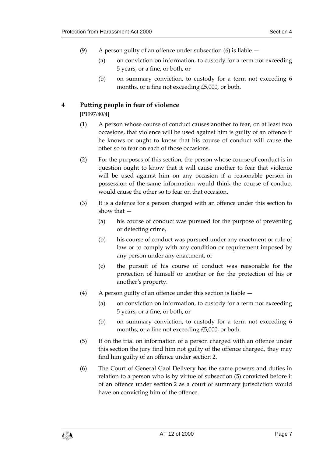- (9) A person guilty of an offence under subsection (6) is liable
	- (a) on conviction on information, to custody for a term not exceeding 5 years, or a fine, or both, or
	- (b) on summary conviction, to custody for a term not exceeding 6 months, or a fine not exceeding £5,000, or both.

#### <span id="page-6-0"></span>**4 Putting people in fear of violence**

[P1997/40/4]

- (1) A person whose course of conduct causes another to fear, on at least two occasions, that violence will be used against him is guilty of an offence if he knows or ought to know that his course of conduct will cause the other so to fear on each of those occasions.
- (2) For the purposes of this section, the person whose course of conduct is in question ought to know that it will cause another to fear that violence will be used against him on any occasion if a reasonable person in possession of the same information would think the course of conduct would cause the other so to fear on that occasion.
- (3) It is a defence for a person charged with an offence under this section to show that —
	- (a) his course of conduct was pursued for the purpose of preventing or detecting crime,
	- (b) his course of conduct was pursued under any enactment or rule of law or to comply with any condition or requirement imposed by any person under any enactment, or
	- (c) the pursuit of his course of conduct was reasonable for the protection of himself or another or for the protection of his or another's property.
- (4) A person guilty of an offence under this section is liable
	- (a) on conviction on information, to custody for a term not exceeding 5 years, or a fine, or both, or
	- (b) on summary conviction, to custody for a term not exceeding 6 months, or a fine not exceeding £5,000, or both.
- (5) If on the trial on information of a person charged with an offence under this section the jury find him not guilty of the offence charged, they may find him guilty of an offence under section 2.
- (6) The Court of General Gaol Delivery has the same powers and duties in relation to a person who is by virtue of subsection (5) convicted before it of an offence under section 2 as a court of summary jurisdiction would have on convicting him of the offence.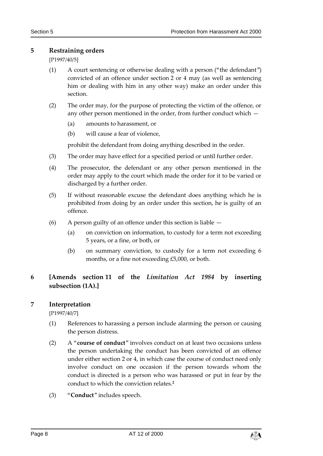#### <span id="page-7-0"></span>**5 Restraining orders**

[P1997/40/5]

- (1) A court sentencing or otherwise dealing with a person ("the defendant") convicted of an offence under section 2 or 4 may (as well as sentencing him or dealing with him in any other way) make an order under this section.
- (2) The order may, for the purpose of protecting the victim of the offence, or any other person mentioned in the order, from further conduct which —
	- (a) amounts to harassment, or
	- (b) will cause a fear of violence,

prohibit the defendant from doing anything described in the order.

- (3) The order may have effect for a specified period or until further order.
- (4) The prosecutor, the defendant or any other person mentioned in the order may apply to the court which made the order for it to be varied or discharged by a further order.
- (5) If without reasonable excuse the defendant does anything which he is prohibited from doing by an order under this section, he is guilty of an offence.
- (6) A person guilty of an offence under this section is liable
	- (a) on conviction on information, to custody for a term not exceeding 5 years, or a fine, or both, or
	- (b) on summary conviction, to custody for a term not exceeding 6 months, or a fine not exceeding £5,000, or both.

#### <span id="page-7-1"></span>**6 [Amends section 11 of the** *Limitation Act 1984* **by inserting subsection (1A).]**

#### <span id="page-7-2"></span>**7 Interpretation**

[P1997/40/7]

- (1) References to harassing a person include alarming the person or causing the person distress.
- (2) A "**course of conduct**" involves conduct on at least two occasions unless the person undertaking the conduct has been convicted of an offence under either section 2 or 4, in which case the course of conduct need only involve conduct on one occasion if the person towards whom the conduct is directed is a person who was harassed or put in fear by the conduct to which the conviction relates.**<sup>2</sup>**
- (3) "**Conduct**" includes speech.

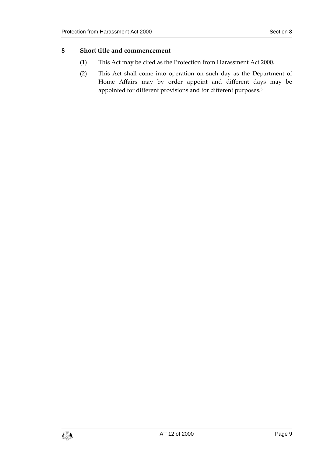#### <span id="page-8-0"></span>**8 Short title and commencement**

- (1) This Act may be cited as the Protection from Harassment Act 2000.
- (2) This Act shall come into operation on such day as the Department of Home Affairs may by order appoint and different days may be appointed for different provisions and for different purposes.**3**